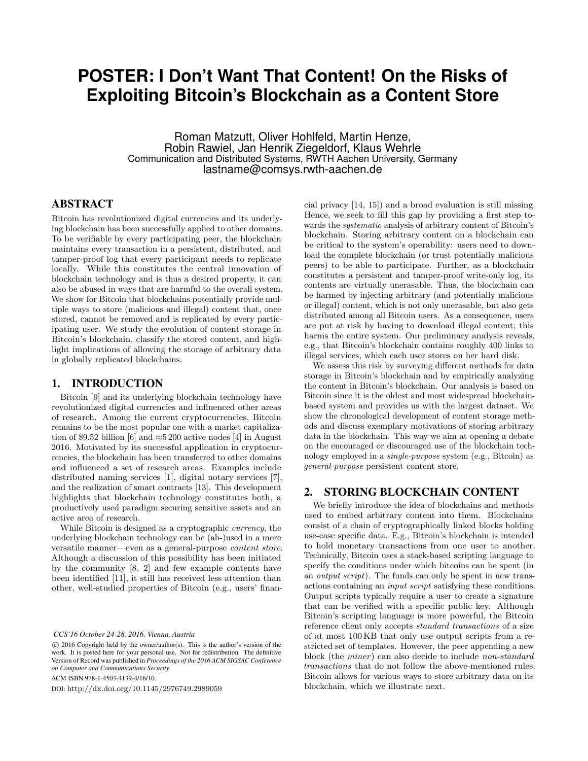# **POSTER: I Don't Want That Content! On the Risks of Exploiting Bitcoin's Blockchain as a Content Store**

Roman Matzutt, Oliver Hohlfeld, Martin Henze, Robin Rawiel, Jan Henrik Ziegeldorf, Klaus Wehrle Communication and Distributed Systems, RWTH Aachen University, Germany lastname@comsys.rwth-aachen.de

# ABSTRACT

Bitcoin has revolutionized digital currencies and its underlying blockchain has been successfully applied to other domains. To be verifiable by every participating peer, the blockchain maintains every transaction in a persistent, distributed, and tamper-proof log that every participant needs to replicate locally. While this constitutes the central innovation of blockchain technology and is thus a desired property, it can also be abused in ways that are harmful to the overall system. We show for Bitcoin that blockchains potentially provide multiple ways to store (malicious and illegal) content that, once stored, cannot be removed and is replicated by every participating user. We study the evolution of content storage in Bitcoin's blockchain, classify the stored content, and highlight implications of allowing the storage of arbitrary data in globally replicated blockchains.

#### 1. INTRODUCTION

Bitcoin [9] and its underlying blockchain technology have revolutionized digital currencies and influenced other areas of research. Among the current cryptocurrencies, Bitcoin remains to be the most popular one with a market capitalization of \$9.52 billion [6] and  $\approx$ 5 200 active nodes [4] in August 2016. Motivated by its successful application in cryptocurrencies, the blockchain has been transferred to other domains and influenced a set of research areas. Examples include distributed naming services [1], digital notary services [7], and the realization of smart contracts [13]. This development highlights that blockchain technology constitutes both, a productively used paradigm securing sensitive assets and an active area of research.

While Bitcoin is designed as a cryptographic currency, the underlying blockchain technology can be (ab-)used in a more versatile manner—even as a general-purpose content store. Although a discussion of this possibility has been initiated by the community [8, 2] and few example contents have been identified [11], it still has received less attention than other, well-studied properties of Bitcoin (e.g., users' finan-

*CCS'16 October 24-28, 2016, Vienna, Austria*

ACM ISBN 978-1-4503-4139-4/16/10.

DOI: http://dx.doi.org/10.1145/2976749.2989059

cial privacy [14, 15]) and a broad evaluation is still missing. Hence, we seek to fill this gap by providing a first step towards the systematic analysis of arbitrary content of Bitcoin's blockchain. Storing arbitrary content on a blockchain can be critical to the system's operability: users need to download the complete blockchain (or trust potentially malicious peers) to be able to participate. Further, as a blockchain constitutes a persistent and tamper-proof write-only log, its contents are virtually unerasable. Thus, the blockchain can be harmed by injecting arbitrary (and potentially malicious or illegal) content, which is not only unerasable, but also gets distributed among all Bitcoin users. As a consequence, users are put at risk by having to download illegal content; this harms the entire system. Our preliminary analysis reveals, e.g., that Bitcoin's blockchain contains roughly 400 links to illegal services, which each user stores on her hard disk.

We assess this risk by surveying different methods for data storage in Bitcoin's blockchain and by empirically analyzing the content in Bitcoin's blockchain. Our analysis is based on Bitcoin since it is the oldest and most widespread blockchainbased system and provides us with the largest dataset. We show the chronological development of content storage methods and discuss exemplary motivations of storing arbitrary data in the blockchain. This way we aim at opening a debate on the encouraged or discouraged use of the blockchain technology employed in a single-purpose system (e.g., Bitcoin) as general-purpose persistent content store.

#### 2. STORING BLOCKCHAIN CONTENT

We briefly introduce the idea of blockchains and methods used to embed arbitrary content into them. Blockchains consist of a chain of cryptographically linked blocks holding use-case specific data. E.g., Bitcoin's blockchain is intended to hold monetary transactions from one user to another. Technically, Bitcoin uses a stack-based scripting language to specify the conditions under which bitcoins can be spent (in an output script). The funds can only be spent in new transactions containing an input script satisfying these conditions. Output scripts typically require a user to create a signature that can be verified with a specific public key. Although Bitcoin's scripting language is more powerful, the Bitcoin reference client only accepts standard transactions of a size of at most 100 KB that only use output scripts from a restricted set of templates. However, the peer appending a new block (the miner) can also decide to include non-standard transactions that do not follow the above-mentioned rules. Bitcoin allows for various ways to store arbitrary data on its blockchain, which we illustrate next.

 $\odot$  2016 Copyright held by the owner/author(s). This is the author's version of the work. It is posted here for your personal use. Not for redistribution. The definitive Version of Record was published in *Proceedings of the 2016 ACM SIGSAC Conference on Computer and Communications Security*.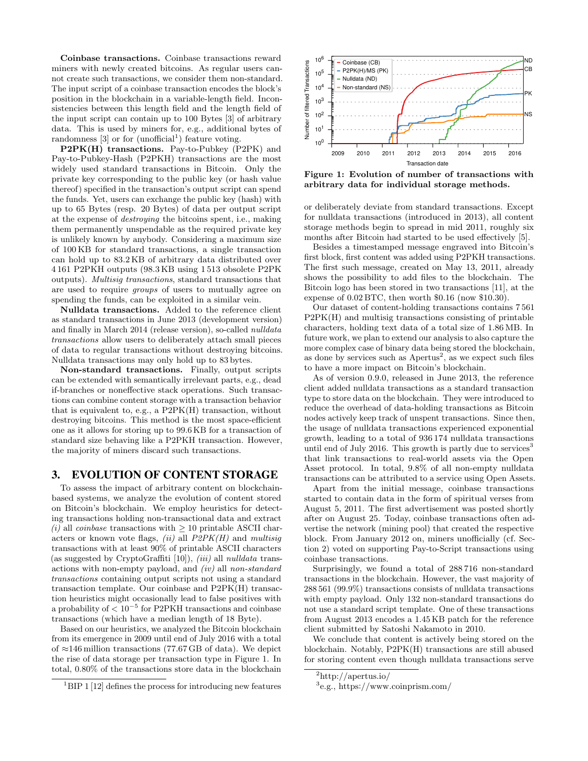Coinbase transactions. Coinbase transactions reward miners with newly created bitcoins. As regular users cannot create such transactions, we consider them non-standard. The input script of a coinbase transaction encodes the block's position in the blockchain in a variable-length field. Inconsistencies between this length field and the length field of the input script can contain up to 100 Bytes [3] of arbitrary data. This is used by miners for, e.g., additional bytes of randomness  $[3]$  or for  $($ unofficial<sup>1</sup> $)$  feature voting.

P2PK(H) transactions. Pay-to-Pubkey (P2PK) and Pay-to-Pubkey-Hash (P2PKH) transactions are the most widely used standard transactions in Bitcoin. Only the private key corresponding to the public key (or hash value thereof) specified in the transaction's output script can spend the funds. Yet, users can exchange the public key (hash) with up to 65 Bytes (resp. 20 Bytes) of data per output script at the expense of destroying the bitcoins spent, i.e., making them permanently unspendable as the required private key is unlikely known by anybody. Considering a maximum size of 100 KB for standard transactions, a single transaction can hold up to 83.2 KB of arbitrary data distributed over 4 161 P2PKH outputs (98.3 KB using 1 513 obsolete P2PK outputs). Multisig transactions, standard transactions that are used to require groups of users to mutually agree on spending the funds, can be exploited in a similar vein.

Nulldata transactions. Added to the reference client as standard transactions in June 2013 (development version) and finally in March 2014 (release version), so-called nulldata transactions allow users to deliberately attach small pieces of data to regular transactions without destroying bitcoins. Nulldata transactions may only hold up to 83 bytes.

Non-standard transactions. Finally, output scripts can be extended with semantically irrelevant parts, e.g., dead if-branches or noneffective stack operations. Such transactions can combine content storage with a transaction behavior that is equivalent to, e.g., a P2PK(H) transaction, without destroying bitcoins. This method is the most space-efficient one as it allows for storing up to 99.6 KB for a transaction of standard size behaving like a P2PKH transaction. However, the majority of miners discard such transactions.

# 3. EVOLUTION OF CONTENT STORAGE

To assess the impact of arbitrary content on blockchainbased systems, we analyze the evolution of content stored on Bitcoin's blockchain. We employ heuristics for detecting transactions holding non-transactional data and extract (i) all *coinbase* transactions with  $\geq 10$  printable ASCII characters or known vote flags,  $(ii)$  all  $P2PK(H)$  and multisig transactions with at least 90% of printable ASCII characters (as suggested by CryptoGraffiti [10]), *(iii)* all *nulldata* transactions with non-empty payload, and (iv) all non-standard transactions containing output scripts not using a standard transaction template. Our coinbase and P2PK(H) transaction heuristics might occasionally lead to false positives with a probability of  $< 10^{-5}$  for P2PKH transactions and coinbase transactions (which have a median length of 18 Byte).

Based on our heuristics, we analyzed the Bitcoin blockchain from its emergence in 2009 until end of July 2016 with a total of  $\approx$ 146 million transactions (77.67 GB of data). We depict the rise of data storage per transaction type in Figure 1. In total, 0.80% of the transactions store data in the blockchain



Figure 1: Evolution of number of transactions with arbitrary data for individual storage methods.

or deliberately deviate from standard transactions. Except for nulldata transactions (introduced in 2013), all content storage methods begin to spread in mid 2011, roughly six months after Bitcoin had started to be used effectively [5].

Besides a timestamped message engraved into Bitcoin's first block, first content was added using P2PKH transactions. The first such message, created on May 13, 2011, already shows the possibility to add files to the blockchain. The Bitcoin logo has been stored in two transactions [11], at the expense of 0.02 BTC, then worth \$0.16 (now \$10.30).

Our dataset of content-holding transactions contains 7 561 P2PK(H) and multisig transactions consisting of printable characters, holding text data of a total size of 1.86 MB. In future work, we plan to extend our analysis to also capture the more complex case of binary data being stored the blockchain, as done by services such as  $A$ pertus<sup>2</sup>, as we expect such files to have a more impact on Bitcoin's blockchain.

As of version 0.9.0, released in June 2013, the reference client added nulldata transactions as a standard transaction type to store data on the blockchain. They were introduced to reduce the overhead of data-holding transactions as Bitcoin nodes actively keep track of unspent transactions. Since then, the usage of nulldata transactions experienced exponential growth, leading to a total of 936 174 nulldata transactions until end of July 2016. This growth is partly due to services<sup>3</sup> that link transactions to real-world assets via the Open Asset protocol. In total, 9.8% of all non-empty nulldata transactions can be attributed to a service using Open Assets.

Apart from the initial message, coinbase transactions started to contain data in the form of spiritual verses from August 5, 2011. The first advertisement was posted shortly after on August 25. Today, coinbase transactions often advertise the network (mining pool) that created the respective block. From January 2012 on, miners unofficially (cf. Section 2) voted on supporting Pay-to-Script transactions using coinbase transactions.

Surprisingly, we found a total of 288 716 non-standard transactions in the blockchain. However, the vast majority of 288 561 (99.9%) transactions consists of nulldata transactions with empty payload. Only 132 non-standard transactions do not use a standard script template. One of these transactions from August 2013 encodes a 1.45 KB patch for the reference client submitted by Satoshi Nakamoto in 2010.

We conclude that content is actively being stored on the blockchain. Notably, P2PK(H) transactions are still abused for storing content even though nulldata transactions serve

 $1<sup>1</sup>BIP$  1 [12] defines the process for introducing new features

<sup>2</sup>http://apertus.io/

<sup>3</sup> e.g., https://www.coinprism.com/